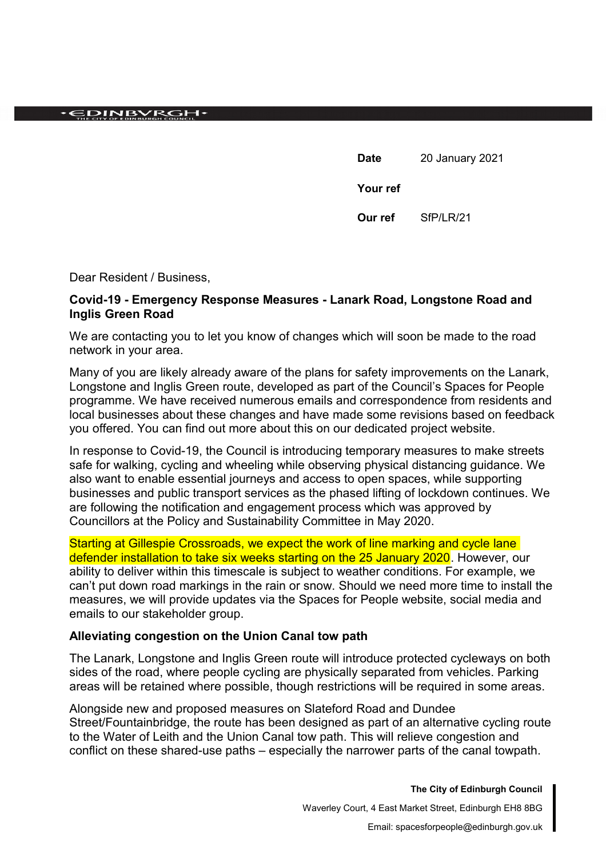#### $\cdot$ CDINBVRGH $\cdot$

**Date** 20 January 2021

**Your ref**

**Our ref** SfP/LR/21

Dear Resident / Business,

### **Covid-19 - Emergency Response Measures - Lanark Road, Longstone Road and Inglis Green Road**

We are contacting you to let you know of changes which will soon be made to the road network in your area.

Many of you are likely already aware of the plans for safety improvements on the Lanark, Longstone and Inglis Green route, developed as part of the Council's Spaces for People programme. We have received numerous emails and correspondence from residents and local businesses about these changes and have made some revisions based on feedback you offered. You can find out more about this on our dedicated project website.

In response to Covid-19, the Council is introducing temporary measures to make streets safe for walking, cycling and wheeling while observing physical distancing guidance. We also want to enable essential journeys and access to open spaces, while supporting businesses and public transport services as the phased lifting of lockdown continues. We are following the notification and engagement process which was approved by Councillors at the Policy and Sustainability Committee in May 2020.

Starting at Gillespie Crossroads, we expect the work of line marking and cycle lane defender installation to take six weeks starting on the 25 January 2020. However, our ability to deliver within this timescale is subject to weather conditions. For example, we can't put down road markings in the rain or snow. Should we need more time to install the measures, we will provide updates via the Spaces for People website, social media and emails to our stakeholder group.

### **Alleviating congestion on the Union Canal tow path**

The Lanark, Longstone and Inglis Green route will introduce protected cycleways on both sides of the road, where people cycling are physically separated from vehicles. Parking areas will be retained where possible, though restrictions will be required in some areas.

Alongside new and proposed measures on Slateford Road and Dundee Street/Fountainbridge, the route has been designed as part of an alternative cycling route to the Water of Leith and the Union Canal tow path. This will relieve congestion and conflict on these shared-use paths – especially the narrower parts of the canal towpath.

Email: spacesforpeople@edinburgh.gov.uk